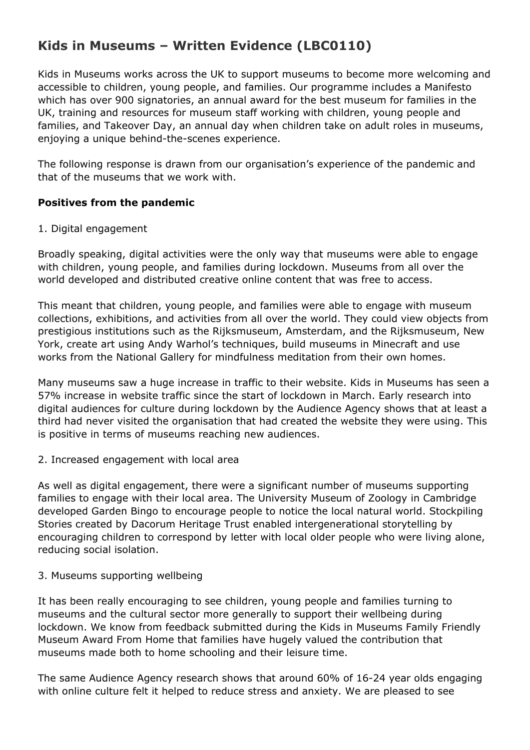# **Kids in Museums – Written Evidence (LBC0110)**

Kids in Museums works across the UK to support museums to become more welcoming and accessible to children, young people, and families. Our programme includes a Manifesto which has over 900 signatories, an annual award for the best museum for families in the UK, training and resources for museum staff working with children, young people and families, and Takeover Day, an annual day when children take on adult roles in museums, enjoying a unique behind-the-scenes experience.

The following response is drawn from our organisation's experience of the pandemic and that of the museums that we work with.

## **Positives from the pandemic**

## 1. Digital engagement

Broadly speaking, digital activities were the only way that museums were able to engage with children, young people, and families during lockdown. Museums from all over the world developed and distributed creative online content that was free to access.

This meant that children, young people, and families were able to engage with museum collections, exhibitions, and activities from all over the world. They could view objects from prestigious institutions such as the Rijksmuseum, Amsterdam, and the Rijksmuseum, New York, create art using Andy Warhol's techniques, build museums in Minecraft and use works from the National Gallery for mindfulness meditation from their own homes.

Many museums saw a huge increase in traffic to their website. Kids in Museums has seen a 57% increase in website traffic since the start of lockdown in March. Early research into digital audiences for culture during lockdown by the Audience Agency shows that at least a third had never visited the organisation that had created the website they were using. This is positive in terms of museums reaching new audiences.

## 2. Increased engagement with local area

As well as digital engagement, there were a significant number of museums supporting families to engage with their local area. The University Museum of Zoology in Cambridge developed Garden Bingo to encourage people to notice the local natural world. Stockpiling Stories created by Dacorum Heritage Trust enabled intergenerational storytelling by encouraging children to correspond by letter with local older people who were living alone, reducing social isolation.

## 3. Museums supporting wellbeing

It has been really encouraging to see children, young people and families turning to museums and the cultural sector more generally to support their wellbeing during lockdown. We know from feedback submitted during the Kids in Museums Family Friendly Museum Award From Home that families have hugely valued the contribution that museums made both to home schooling and their leisure time.

The same Audience Agency research shows that around 60% of 16-24 year olds engaging with online culture felt it helped to reduce stress and anxiety. We are pleased to see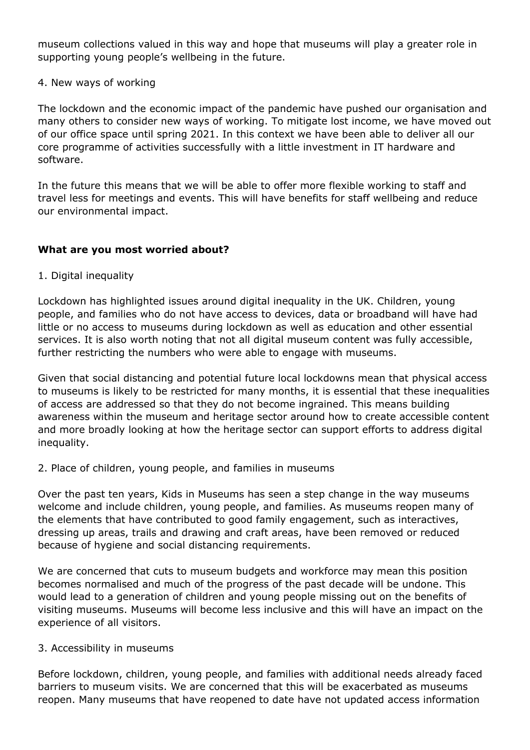museum collections valued in this way and hope that museums will play a greater role in supporting young people's wellbeing in the future.

### 4. New ways of working

The lockdown and the economic impact of the pandemic have pushed our organisation and many others to consider new ways of working. To mitigate lost income, we have moved out of our office space until spring 2021. In this context we have been able to deliver all our core programme of activities successfully with a little investment in IT hardware and software.

In the future this means that we will be able to offer more flexible working to staff and travel less for meetings and events. This will have benefits for staff wellbeing and reduce our environmental impact.

## **What are you most worried about?**

1. Digital inequality

Lockdown has highlighted issues around digital inequality in the UK. Children, young people, and families who do not have access to devices, data or broadband will have had little or no access to museums during lockdown as well as education and other essential services. It is also worth noting that not all digital museum content was fully accessible, further restricting the numbers who were able to engage with museums.

Given that social distancing and potential future local lockdowns mean that physical access to museums is likely to be restricted for many months, it is essential that these inequalities of access are addressed so that they do not become ingrained. This means building awareness within the museum and heritage sector around how to create accessible content and more broadly looking at how the heritage sector can support efforts to address digital inequality.

2. Place of children, young people, and families in museums

Over the past ten years, Kids in Museums has seen a step change in the way museums welcome and include children, young people, and families. As museums reopen many of the elements that have contributed to good family engagement, such as interactives, dressing up areas, trails and drawing and craft areas, have been removed or reduced because of hygiene and social distancing requirements.

We are concerned that cuts to museum budgets and workforce may mean this position becomes normalised and much of the progress of the past decade will be undone. This would lead to a generation of children and young people missing out on the benefits of visiting museums. Museums will become less inclusive and this will have an impact on the experience of all visitors.

#### 3. Accessibility in museums

Before lockdown, children, young people, and families with additional needs already faced barriers to museum visits. We are concerned that this will be exacerbated as museums reopen. Many museums that have reopened to date have not updated access information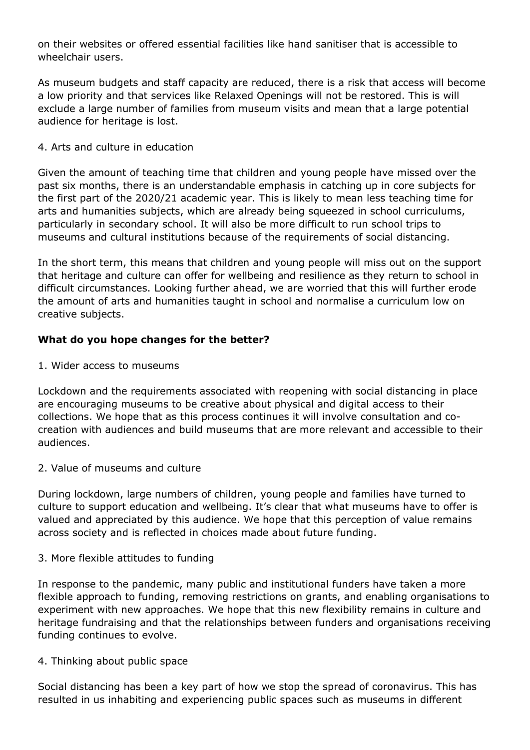on their websites or offered essential facilities like hand sanitiser that is accessible to wheelchair users.

As museum budgets and staff capacity are reduced, there is a risk that access will become a low priority and that services like Relaxed Openings will not be restored. This is will exclude a large number of families from museum visits and mean that a large potential audience for heritage is lost.

## 4. Arts and culture in education

Given the amount of teaching time that children and young people have missed over the past six months, there is an understandable emphasis in catching up in core subjects for the first part of the 2020/21 academic year. This is likely to mean less teaching time for arts and humanities subjects, which are already being squeezed in school curriculums, particularly in secondary school. It will also be more difficult to run school trips to museums and cultural institutions because of the requirements of social distancing.

In the short term, this means that children and young people will miss out on the support that heritage and culture can offer for wellbeing and resilience as they return to school in difficult circumstances. Looking further ahead, we are worried that this will further erode the amount of arts and humanities taught in school and normalise a curriculum low on creative subjects.

## **What do you hope changes for the better?**

1. Wider access to museums

Lockdown and the requirements associated with reopening with social distancing in place are encouraging museums to be creative about physical and digital access to their collections. We hope that as this process continues it will involve consultation and cocreation with audiences and build museums that are more relevant and accessible to their audiences.

## 2. Value of museums and culture

During lockdown, large numbers of children, young people and families have turned to culture to support education and wellbeing. It's clear that what museums have to offer is valued and appreciated by this audience. We hope that this perception of value remains across society and is reflected in choices made about future funding.

#### 3. More flexible attitudes to funding

In response to the pandemic, many public and institutional funders have taken a more flexible approach to funding, removing restrictions on grants, and enabling organisations to experiment with new approaches. We hope that this new flexibility remains in culture and heritage fundraising and that the relationships between funders and organisations receiving funding continues to evolve.

#### 4. Thinking about public space

Social distancing has been a key part of how we stop the spread of coronavirus. This has resulted in us inhabiting and experiencing public spaces such as museums in different